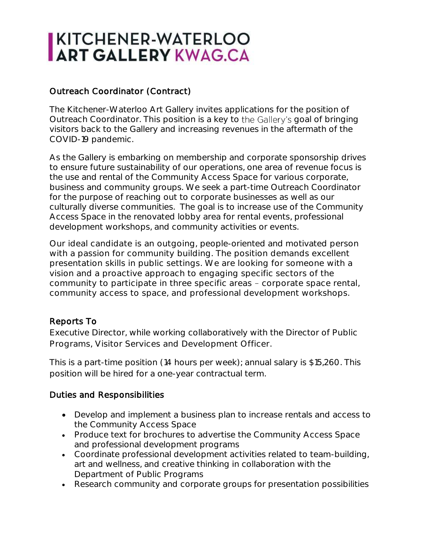# KITCHENER-WATERLOO

## Outreach Coordinator (Contract)

The Kitchener-Waterloo Art Gallery invites applications for the position of Outreach Coordinator. This position is a key to the Gallery's goal of bringing visitors back to the Gallery and increasing revenues in the aftermath of the COVID-19 pandemic.

As the Gallery is embarking on membership and corporate sponsorship drives to ensure future sustainability of our operations, one area of revenue focus is the use and rental of the Community Access Space for various corporate, business and community groups. We seek a part-time Outreach Coordinator for the purpose of reaching out to corporate businesses as well as our culturally diverse communities. The goal is to increase use of the Community Access Space in the renovated lobby area for rental events, professional development workshops, and community activities or events.

Our ideal candidate is an outgoing, people-oriented and motivated person with a passion for community building. The position demands excellent presentation skills in public settings. We are looking for someone with a vision and a proactive approach to engaging specific sectors of the community to participate in three specific areas - corporate space rental, community access to space, and professional development workshops.

#### Reports To

Executive Director, while working collaboratively with the Director of Public Programs, Visitor Services and Development Officer.

This is a part-time position (14 hours per week); annual salary is \$15,260. This position will be hired for a one-year contractual term.

#### Duties and Responsibilities

- Develop and implement a business plan to increase rentals and access to the Community Access Space
- Produce text for brochures to advertise the Community Access Space and professional development programs
- Coordinate professional development activities related to team-building, art and wellness, and creative thinking in collaboration with the Department of Public Programs
- Research community and corporate groups for presentation possibilities